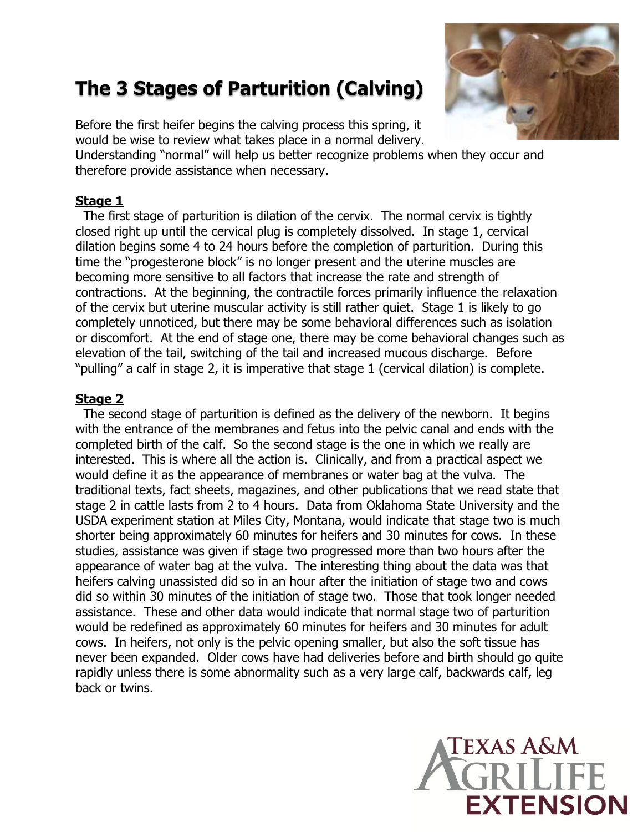# **The 3 Stages of Parturition (Calving)**

Before the first heifer begins the calving process this spring, it would be wise to review what takes place in a normal delivery.

Understanding "normal" will help us better recognize problems when they occur and therefore provide assistance when necessary.

#### **Stage 1**

 The first stage of parturition is dilation of the cervix. The normal cervix is tightly closed right up until the cervical plug is completely dissolved. In stage 1, cervical dilation begins some 4 to 24 hours before the completion of parturition. During this time the "progesterone block" is no longer present and the uterine muscles are becoming more sensitive to all factors that increase the rate and strength of contractions. At the beginning, the contractile forces primarily influence the relaxation of the cervix but uterine muscular activity is still rather quiet. Stage 1 is likely to go completely unnoticed, but there may be some behavioral differences such as isolation or discomfort. At the end of stage one, there may be come behavioral changes such as elevation of the tail, switching of the tail and increased mucous discharge. Before "pulling" a calf in stage 2, it is imperative that stage 1 (cervical dilation) is complete.

### **Stage 2**

 The second stage of parturition is defined as the delivery of the newborn. It begins with the entrance of the membranes and fetus into the pelvic canal and ends with the completed birth of the calf. So the second stage is the one in which we really are interested. This is where all the action is. Clinically, and from a practical aspect we would define it as the appearance of membranes or water bag at the vulva. The traditional texts, fact sheets, magazines, and other publications that we read state that stage 2 in cattle lasts from 2 to 4 hours. Data from Oklahoma State University and the USDA experiment station at Miles City, Montana, would indicate that stage two is much shorter being approximately 60 minutes for heifers and 30 minutes for cows. In these studies, assistance was given if stage two progressed more than two hours after the appearance of water bag at the vulva. The interesting thing about the data was that heifers calving unassisted did so in an hour after the initiation of stage two and cows did so within 30 minutes of the initiation of stage two. Those that took longer needed assistance. These and other data would indicate that normal stage two of parturition would be redefined as approximately 60 minutes for heifers and 30 minutes for adult cows. In heifers, not only is the pelvic opening smaller, but also the soft tissue has never been expanded. Older cows have had deliveries before and birth should go quite rapidly unless there is some abnormality such as a very large calf, backwards calf, leg back or twins.